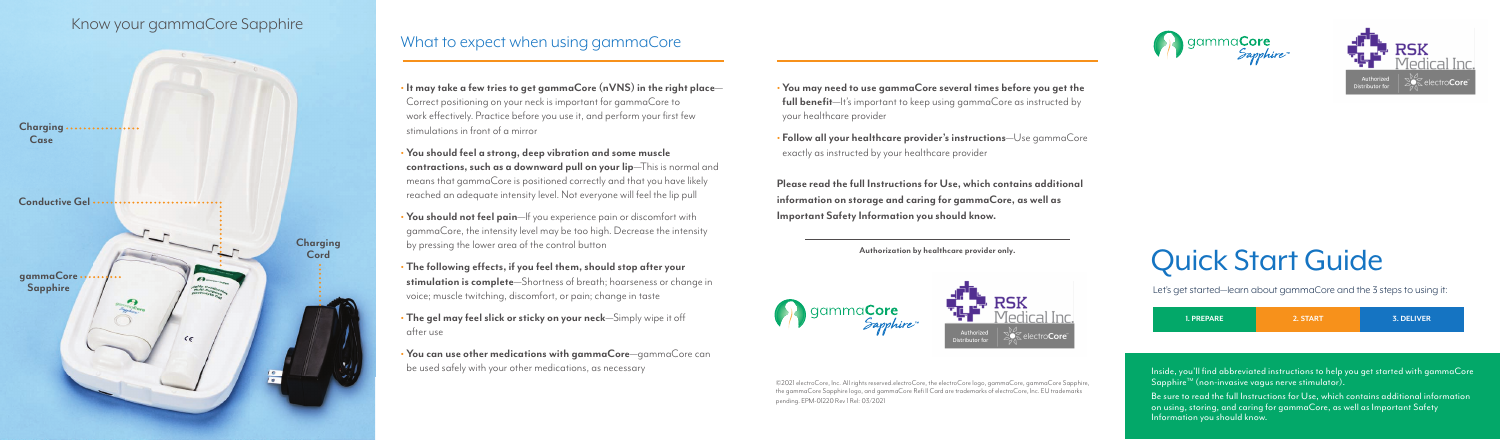# Quick Start Guide

Let's get started—learn about gammaCore and the 3 steps to using it:

Be sure to read the full Instructions for Use, which contains additional information<br>on using, storing, and caring for gammaCore, as well as Important Safety Information you should know.

| <b>1. PREPARE</b> | 2. START | 3. DELIVER |
|-------------------|----------|------------|
|                   |          |            |

Inside, you'll find abbreviated instructions to help you get started with gammaCore Sapphire™ (non-invasive vagus nerve stimulator).

**• You may need to use gammaCore several times before you get the full benefit**—It's important to keep using gammaCore as instructed by your healthcare provider

**• Follow all your healthcare provider's instructions**—Use gammaCore exactly as instructed by your healthcare provider



**Please read the full Instructions for Use, which contains additional information on storage and caring for gammaCore, as well as Important Safety Information you should know.**

- **• It may take a few tries to get gammaCore (nVNS) in the right place** Correct positioning on your neck is important for gammaCore to work effectively. Practice before you use it, and perform your first few stimulations in front of a mirror
- **• You should feel a strong, deep vibration and some muscle contractions, such as a downward pull on your lip**—This is normal and means that gammaCore is positioned correctly and that you have likely reached an adequate intensity level. Not everyone will feel the lip pull
- **• You should not feel pain**—If you experience pain or discomfort with gammaCore, the intensity level may be too high. Decrease the intensity by pressing the lower area of the control button
- **• The following effects, if you feel them, should stop after your stimulation is complete**—Shortness of breath; hoarseness or change in voice; muscle twitching, discomfort, or pain; change in taste
- **• The gel may feel slick or sticky on your neck**—Simply wipe it off after use
- **• You can use other medications with gammaCore**—gammaCore can be used safely with your other medications, as necessary

©2021 electroCore, Inc. All rights reserved.electroCore, the electroCore logo, gammaCore, gammaCore Sapphire, the gammaCore Sapphire logo, and gammaCore Refi ll Card are trademarks of electroCore, Inc. EU trademarks pending. EPM-01220 Rev 1 Rel: 03/2021





# What to expect when using gammaCore

# Know your gammaCore Sapphire

**Authorization by healthcare provider only.**